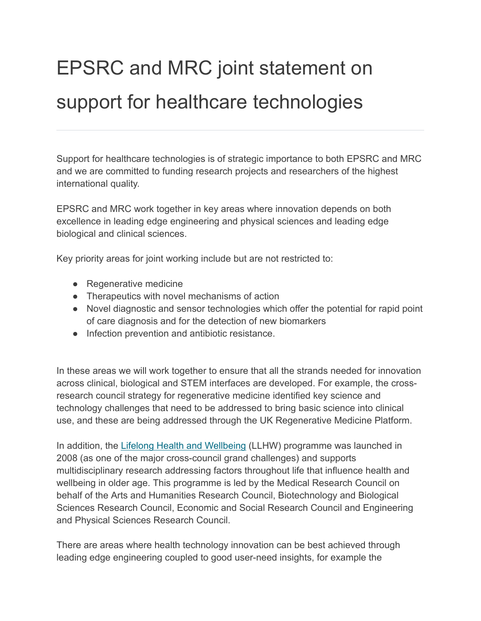## EPSRC and MRC joint statement on support for healthcare technologies

Support for healthcare technologies is of strategic importance to both EPSRC and MRC and we are committed to funding research projects and researchers of the highest international quality.

EPSRC and MRC work together in key areas where innovation depends on both excellence in leading edge engineering and physical sciences and leading edge biological and clinical sciences.

Key priority areas for joint working include but are not restricted to:

- Regenerative medicine
- Therapeutics with novel mechanisms of action
- Novel diagnostic and sensor technologies which offer the potential for rapid point of care diagnosis and for the detection of new biomarkers
- Infection prevention and antibiotic resistance.

In these areas we will work together to ensure that all the strands needed for innovation across clinical, biological and STEM interfaces are developed. For example, the crossresearch council strategy for regenerative medicine identified key science and technology challenges that need to be addressed to bring basic science into clinical use, and these are being addressed through the UK Regenerative Medicine Platform.

In addition, the [Lifelong Health and Wellbeing](http://www.mrc.ac.uk/research/initiatives/lifelong-health-wellbeing/) (LLHW) programme was launched in 2008 (as one of the major cross-council grand challenges) and supports multidisciplinary research addressing factors throughout life that influence health and wellbeing in older age. This programme is led by the Medical Research Council on behalf of the Arts and Humanities Research Council, Biotechnology and Biological Sciences Research Council, Economic and Social Research Council and Engineering and Physical Sciences Research Council.

There are areas where health technology innovation can be best achieved through leading edge engineering coupled to good user-need insights, for example the